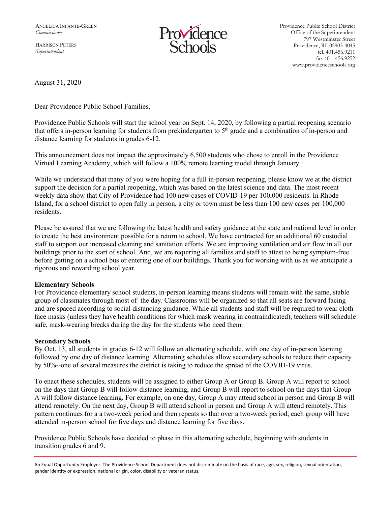HARRISON PETERS *Superintendent*



Providence Public School District Office of the Superintendent 797 Westminster Street Providence, RI 02903-4045 tel. 401.456.9211 fax 401. 456.9252 www.providenceschools.org

August 31, 2020

Dear Providence Public School Families,

Providence Public Schools will start the school year on Sept. 14, 2020, by following a partial reopening scenario that offers in-person learning for students from prekindergarten to 5<sup>th</sup> grade and a combination of in-person and distance learning for students in grades 6-12.

This announcement does not impact the approximately 6,500 students who chose to enroll in the Providence Virtual Learning Academy, which will follow a 100% remote learning model through January.

While we understand that many of you were hoping for a full in-person reopening, please know we at the district support the decision for a partial reopening, which was based on the latest science and data. The most recent weekly data show that City of Providence had 100 new cases of COVID-19 per 100,000 residents. In Rhode Island, for a school district to open fully in person, a city or town must be less than 100 new cases per 100,000 residents.

Please be assured that we are following the latest health and safety guidance at the state and national level in order to create the best environment possible for a return to school. We have contracted for an additional 60 custodial staff to support our increased cleaning and sanitation efforts. We are improving ventilation and air flow in all our buildings prior to the start of school. And, we are requiring all families and staff to attest to being symptom-free before getting on a school bus or entering one of our buildings. Thank you for working with us as we anticipate a rigorous and rewarding school year.

## **Elementary Schools**

For Providence elementary school students, in-person learning means students will remain with the same, stable group of classmates through most of the day. Classrooms will be organized so that all seats are forward facing and are spaced according to social distancing guidance. While all students and staff will be required to wear cloth face masks (unless they have health conditions for which mask wearing in contraindicated), teachers will schedule safe, mask-wearing breaks during the day for the students who need them.

## **Secondary Schools**

By Oct. 13, all students in grades 6-12 will follow an alternating schedule, with one day of in-person learning followed by one day of distance learning. Alternating schedules allow secondary schools to reduce their capacity by 50%--one of several measures the district is taking to reduce the spread of the COVID-19 virus.

To enact these schedules, students will be assigned to either Group A or Group B. Group A will report to school on the days that Group B will follow distance learning, and Group B will report to school on the days that Group A will follow distance learning. For example, on one day, Group A may attend school in person and Group B will attend remotely. On the next day, Group B will attend school in person and Group A will attend remotely. This pattern continues for a a two-week period and then repeats so that over a two-week period, each group will have attended in-person school for five days and distance learning for five days.

Providence Public Schools have decided to phase in this alternating schedule, beginning with students in transition grades 6 and 9.

An Equal Opportunity Employer. The Providence School Department does not discriminate on the basis of race, age, sex, religion, sexual orientation, gender identity or expression, national origin, color, disability or veteran status.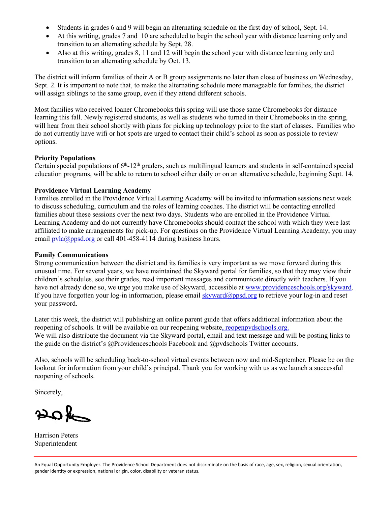- Students in grades 6 and 9 will begin an alternating schedule on the first day of school, Sept. 14.
- At this writing, grades 7 and 10 are scheduled to begin the school year with distance learning only and transition to an alternating schedule by Sept. 28.
- Also at this writing, grades 8, 11 and 12 will begin the school year with distance learning only and transition to an alternating schedule by Oct. 13.

The district will inform families of their A or B group assignments no later than close of business on Wednesday, Sept. 2. It is important to note that, to make the alternating schedule more manageable for families, the district will assign siblings to the same group, even if they attend different schools.

Most families who received loaner Chromebooks this spring will use those same Chromebooks for distance learning this fall. Newly registered students, as well as students who turned in their Chromebooks in the spring, will hear from their school shortly with plans for picking up technology prior to the start of classes. Families who do not currently have wifi or hot spots are urged to contact their child's school as soon as possible to review options.

# **Priority Populations**

Certain special populations of  $6<sup>th</sup>$ -12<sup>th</sup> graders, such as multilingual learners and students in self-contained special education programs, will be able to return to school either daily or on an alternative schedule, beginning Sept. 14.

# **Providence Virtual Learning Academy**

Families enrolled in the Providence Virtual Learning Academy will be invited to information sessions next week to discuss scheduling, curriculum and the roles of learning coaches. The district will be contacting enrolled families about these sessions over the next two days. Students who are enrolled in the Providence Virtual Learning Academy and do not currently have Chromebooks should contact the school with which they were last affiliated to make arrangements for pick-up. For questions on the Providence Virtual Learning Academy, you may email  $pvla@ppsd.org$  or call 401-458-4114 during business hours.

# **Family Communications**

Strong communication between the district and its families is very important as we move forward during this unusual time. For several years, we have maintained the Skyward portal for families, so that they may view their children's schedules, see their grades, read important messages and communicate directly with teachers. If you have not already done so, we urge you make use of Skyward, accessible at [www.providenceschools.org/skyward.](http://www.providenceschools.org/skyward) If you have forgotten your log-in information, please email [skyward@ppsd.org](mailto:skyward@ppsd.org) to retrieve your log-in and reset your password.

Later this week, the district will publishing an online parent guide that offers additional information about the reopening of schools. It will be available on our reopening websit[e, reopenpvdschools.org.](https://reopenpvdschools.org/) We will also distribute the document via the Skyward portal, email and text message and will be posting links to the guide on the district's @Providenceschools Facebook and @pvdschools Twitter accounts.

Also, schools will be scheduling back-to-school virtual events between now and mid-September. Please be on the lookout for information from your child's principal. Thank you for working with us as we launch a successful reopening of schools.

Sincerely,

 $20$ 

Harrison Peters Superintendent

An Equal Opportunity Employer. The Providence School Department does not discriminate on the basis of race, age, sex, religion, sexual orientation, gender identity or expression, national origin, color, disability or veteran status.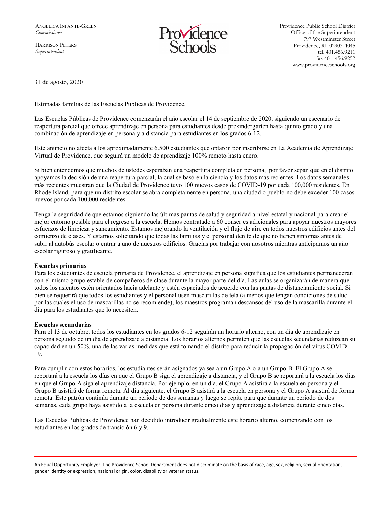HARRISON PETERS *Superintendent*



Providence Public School District Office of the Superintendent 797 Westminster Street Providence, RI 02903-4045 tel. 401.456.9211 fax 401. 456.9252 www.providenceschools.org

31 de agosto, 2020

Estimadas familias de las Escuelas Publicas de Providence,

Las Escuelas Públicas de Providence comenzarán el año escolar el 14 de septiembre de 2020, siguiendo un escenario de reapertura parcial que ofrece aprendizaje en persona para estudiantes desde prekindergarten hasta quinto grado y una combinación de aprendizaje en persona y a distancia para estudiantes en los grados 6-12.

Este anuncio no afecta a los aproximadamente 6.500 estudiantes que optaron por inscribirse en La Academia de Aprendizaje Virtual de Providence, que seguirá un modelo de aprendizaje 100% remoto hasta enero.

Si bien entendemos que muchos de ustedes esperaban una reapertura completa en persona, por favor sepan que en el distrito apoyamos la decisión de una reapertura parcial, la cual se basó en la ciencia y los datos más recientes. Los datos semanales más recientes muestran que la Ciudad de Providence tuvo 100 nuevos casos de COVID-19 por cada 100,000 residentes. En Rhode Island, para que un distrito escolar se abra completamente en persona, una ciudad o pueblo no debe exceder 100 casos nuevos por cada 100,000 residentes.

Tenga la seguridad de que estamos siguiendo las últimas pautas de salud y seguridad a nivel estatal y nacional para crear el mejor entorno posible para el regreso a la escuela. Hemos contratado a 60 conserjes adicionales para apoyar nuestros mayores esfuerzos de limpieza y saneamiento. Estamos mejorando la ventilación y el flujo de aire en todos nuestros edificios antes del comienzo de clases. Y estamos solicitando que todas las familias y el personal den fe de que no tienen síntomas antes de subir al autobús escolar o entrar a uno de nuestros edificios. Gracias por trabajar con nosotros mientras anticipamos un año escolar riguroso y gratificante.

#### **Escuelas primarias**

Para los estudiantes de escuela primaria de Providence, el aprendizaje en persona significa que los estudiantes permanecerán con el mismo grupo estable de compañeros de clase durante la mayor parte del día. Las aulas se organizarán de manera que todos los asientos estén orientados hacia adelante y estén espaciados de acuerdo con las pautas de distanciamiento social. Si bien se requerirá que todos los estudiantes y el personal usen mascarillas de tela (a menos que tengan condiciones de salud por las cuales el uso de mascarillas no se recomiende), los maestros programan descansos del uso de la mascarilla durante el día para los estudiantes que lo necesiten.

### **Escuelas secundarias**

Para el 13 de octubre, todos los estudiantes en los grados 6-12 seguirán un horario alterno, con un día de aprendizaje en persona seguido de un día de aprendizaje a distancia. Los horarios alternos permiten que las escuelas secundarias reduzcan su capacidad en un 50%, una de las varias medidas que está tomando el distrito para reducir la propagación del virus COVID-19.

Para cumplir con estos horarios, los estudiantes serán asignados ya sea a un Grupo A o a un Grupo B. El Grupo A se reportará a la escuela los días en que el Grupo B siga el aprendizaje a distancia, y el Grupo B se reportará a la escuela los días en que el Grupo A siga el aprendizaje distancia. Por ejemplo, en un día, el Grupo A asistirá a la escuela en persona y el Grupo B asistirá de forma remota. Al día siguiente, el Grupo B asistirá a la escuela en persona y el Grupo A asistirá de forma remota. Este patrón continúa durante un período de dos semanas y luego se repite para que durante un período de dos semanas, cada grupo haya asistido a la escuela en persona durante cinco días y aprendizaje a distancia durante cinco días.

Las Escuelas Públicas de Providence han decidido introducir gradualmente este horario alterno, comenzando con los estudiantes en los grados de transición 6 y 9.

An Equal Opportunity Employer. The Providence School Department does not discriminate on the basis of race, age, sex, religion, sexual orientation, gender identity or expression, national origin, color, disability or veteran status.